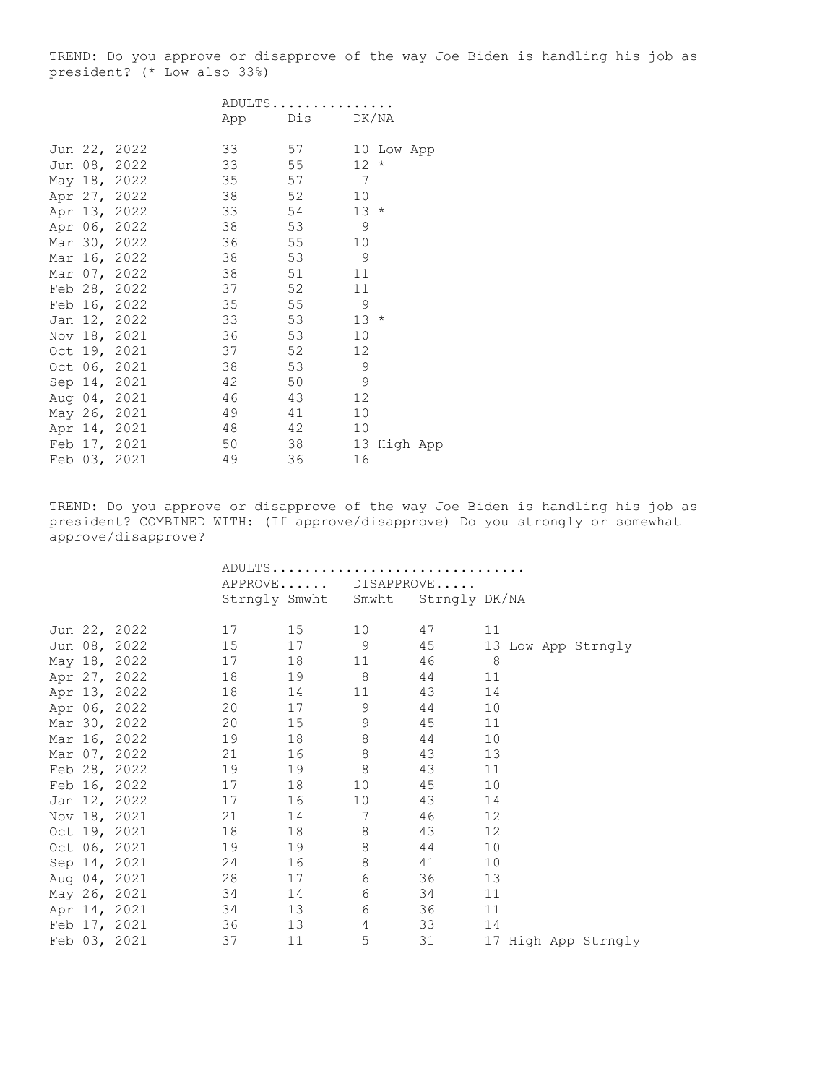TREND: Do you approve or disapprove of the way Joe Biden is handling his job as president? (\* Low also 33%)

|  |              | ADULTS |     |                            |  |
|--|--------------|--------|-----|----------------------------|--|
|  |              | App    | Dis | DK/NA                      |  |
|  |              |        |     |                            |  |
|  | Jun 22, 2022 | 33     | 57  | 10 Low App                 |  |
|  | Jun 08, 2022 | 33     | 55  | 12 <sup>°</sup><br>$\star$ |  |
|  | May 18, 2022 | 35     | 57  | 7                          |  |
|  | Apr 27, 2022 | 38     | 52  | 10                         |  |
|  | Apr 13, 2022 | 33     | 54  | 13<br>$\star$              |  |
|  | Apr 06, 2022 | 38     | 53  | 9                          |  |
|  | Mar 30, 2022 | 36     | 55  | 10                         |  |
|  | Mar 16, 2022 | 38     | 53  | 9                          |  |
|  | Mar 07, 2022 | 38     | 51  | 11                         |  |
|  | Feb 28, 2022 | 37     | 52  | 11                         |  |
|  | Feb 16, 2022 | 35     | 55  | 9                          |  |
|  | Jan 12, 2022 | 33     | 53  | 13<br>$\star$              |  |
|  | Nov 18, 2021 | 36     | 53  | 10                         |  |
|  | Oct 19, 2021 | 37     | 52  | 12                         |  |
|  | Oct 06, 2021 | 38     | 53  | 9                          |  |
|  | Sep 14, 2021 | 42     | 50  | 9                          |  |
|  | Aug 04, 2021 | 46     | 43  | $12 \overline{c}$          |  |
|  | May 26, 2021 | 49     | 41  | 10                         |  |
|  | Apr 14, 2021 | 48     | 42  | 10                         |  |
|  | Feb 17, 2021 | 50     | 38  | 13<br>High App             |  |
|  | Feb 03, 2021 | 49     | 36  | 16                         |  |

TREND: Do you approve or disapprove of the way Joe Biden is handling his job as president? COMBINED WITH: (If approve/disapprove) Do you strongly or somewhat approve/disapprove?

|  |                    |       |                      | APPROVE DISAPPROVE                |         |                     |
|--|--------------------|-------|----------------------|-----------------------------------|---------|---------------------|
|  |                    |       |                      | Strngly Smwht Smwht Strngly DK/NA |         |                     |
|  |                    |       |                      |                                   |         |                     |
|  | Jun 22, 2022       | 17 15 |                      | 10                                | 47      | 11                  |
|  | Jun 08, 2022       | 15    | 17 9                 |                                   | 45      | 13 Low App Strngly  |
|  | May 18, 2022       |       |                      | 11                                | 46      | 8 <sup>8</sup>      |
|  | Apr 27, 2022       | 18    | 19 8                 |                                   | 44      | 11                  |
|  | Apr 13, 2022       | 18    | 14                   | 11 —                              | 43      | 14                  |
|  | Apr 06, 2022       | 20    | 17 9                 |                                   | 44      | 10                  |
|  | Mar 30, 2022       | 20    | 15 9                 |                                   | 45      | 11                  |
|  | Mar 16, 2022       | 19    |                      | $\,8\,$                           | 44      | 10                  |
|  | Mar 07, 2022       | 21    | 8 <sup>1</sup><br>16 |                                   | 43      | 13                  |
|  | Feb 28, 2022       | 19    | 19                   | 8                                 | 43      | 11                  |
|  | Feb 16, 2022       | 17    |                      | 10                                | 45      | 10                  |
|  | Jan 12, 2022       | 17    | 16                   | 10                                | 43      | 14                  |
|  | Nov 18, 2021       | 21    | 14 7                 |                                   | 46      | 12                  |
|  | Oct 19, 2021       |       | 18 0                 | 8                                 | 43      | 12                  |
|  | Oct 06, 2021       | 19    | 19 8                 |                                   | 44      | 10                  |
|  | Sep 14, 2021       | 24    |                      | $\,8\,$                           | 41 — 10 | 10                  |
|  | Aug 04, 2021       | 28    | 17                   | $\sqrt{6}$                        | 36      | 13                  |
|  | May 26, 2021       | 34    | 14 \,                | 6                                 | 34      | 11                  |
|  | 34<br>Apr 14, 2021 |       | 13                   | 6                                 | 36      | 11                  |
|  | Feb 17, 2021       | 36    | 13                   | 4                                 | 33      | 14                  |
|  | Feb 03, 2021       | 37    | 11                   | 5                                 | 31      | 17 High App Strngly |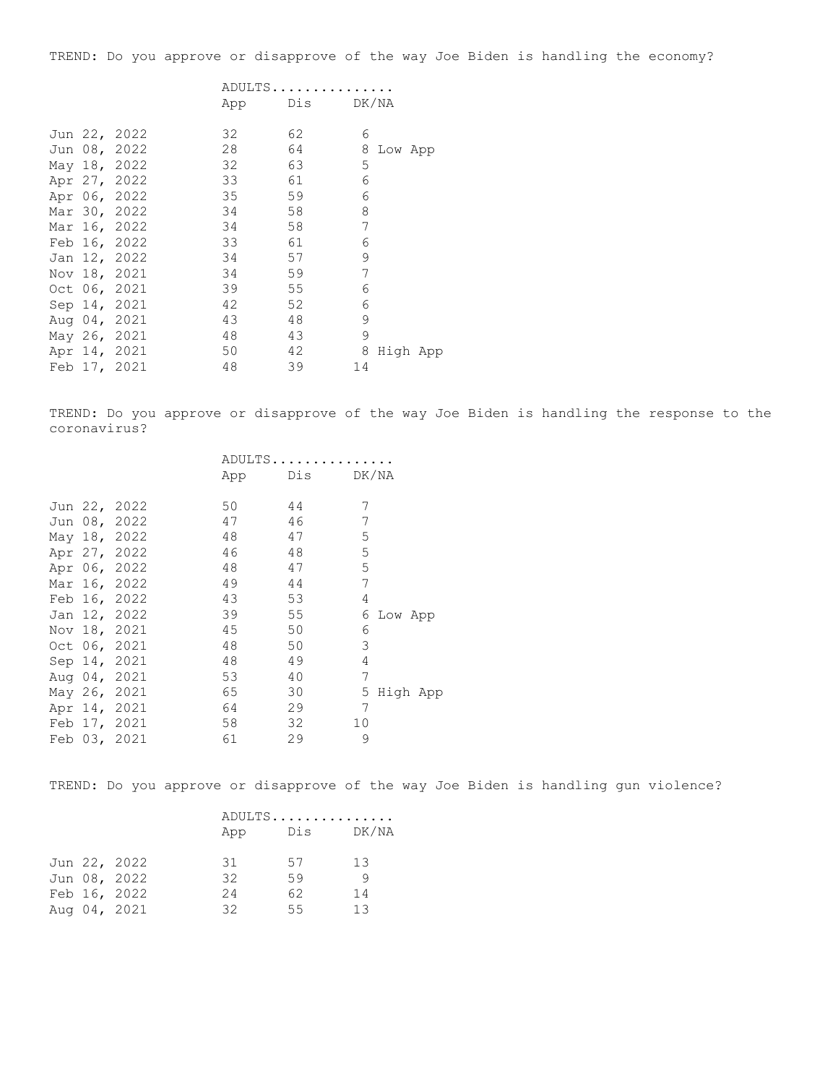TREND: Do you approve or disapprove of the way Joe Biden is handling the economy?

|  |              |    | ADULTS  |            |
|--|--------------|----|---------|------------|
|  |              |    | App Dis | DK/NA      |
|  | Jun 22, 2022 | 32 | 62      | 6          |
|  | Jun 08, 2022 | 28 | 64      | 8 Low App  |
|  | May 18, 2022 | 32 | 63      | 5          |
|  | Apr 27, 2022 | 33 | 61      | 6          |
|  | Apr 06, 2022 | 35 | 59      | 6          |
|  | Mar 30, 2022 | 34 | 58      | 8          |
|  | Mar 16, 2022 | 34 | 58      | 7          |
|  | Feb 16, 2022 | 33 | 61      | 6          |
|  | Jan 12, 2022 | 34 | 57      | 9          |
|  | Nov 18, 2021 | 34 | 59      | 7          |
|  | Oct 06, 2021 | 39 | 55      | 6          |
|  | Sep 14, 2021 | 42 | 52      | 6          |
|  | Aug 04, 2021 | 43 | 48      | 9          |
|  | May 26, 2021 | 48 | 43      | 9          |
|  | Apr 14, 2021 | 50 | 42      | 8 High App |
|  | Feb 17, 2021 | 48 | 39      | 14         |
|  |              |    |         |            |

TREND: Do you approve or disapprove of the way Joe Biden is handling the response to the coronavirus?

|  |              | ADULTS |     |               |  |
|--|--------------|--------|-----|---------------|--|
|  |              | App    | Dis | DK/NA         |  |
|  | Jun 22, 2022 | 50     | 44  | 7             |  |
|  | Jun 08, 2022 | 47     | 46  | 7             |  |
|  | May 18, 2022 | 48     | 47  | 5             |  |
|  | Apr 27, 2022 | 46     | 48  | 5             |  |
|  | Apr 06, 2022 | 48     | 47  | 5             |  |
|  | Mar 16, 2022 | 49     | 44  | 7             |  |
|  | Feb 16, 2022 | 43     | 53  | 4             |  |
|  | Jan 12, 2022 | 39     | 55  | 6<br>Low App  |  |
|  | Nov 18, 2021 | 45     | 50  | 6             |  |
|  | Oct 06, 2021 | 48     | 50  | 3             |  |
|  | Sep 14, 2021 | 48     | 49  | 4             |  |
|  | Aug 04, 2021 | 53     | 40  | 7             |  |
|  | May 26, 2021 | 65     | 30  | 5<br>High App |  |
|  | Apr 14, 2021 | 64     | 29  | 7             |  |
|  | Feb 17, 2021 | 58     | 32  | 10            |  |
|  | Feb 03, 2021 | 61     | 29  | 9             |  |

TREND: Do you approve or disapprove of the way Joe Biden is handling gun violence?

|  |              | ADULTS |     |       |  |
|--|--------------|--------|-----|-------|--|
|  |              | App    | Dis | DK/NA |  |
|  | Jun 22, 2022 | 31     | 57  | 13    |  |
|  | Jun 08, 2022 | 32     | 59  | - 9   |  |
|  | Feb 16, 2022 | 24     | 62  | 14    |  |
|  | Aug 04, 2021 | 32     | 55  | 13    |  |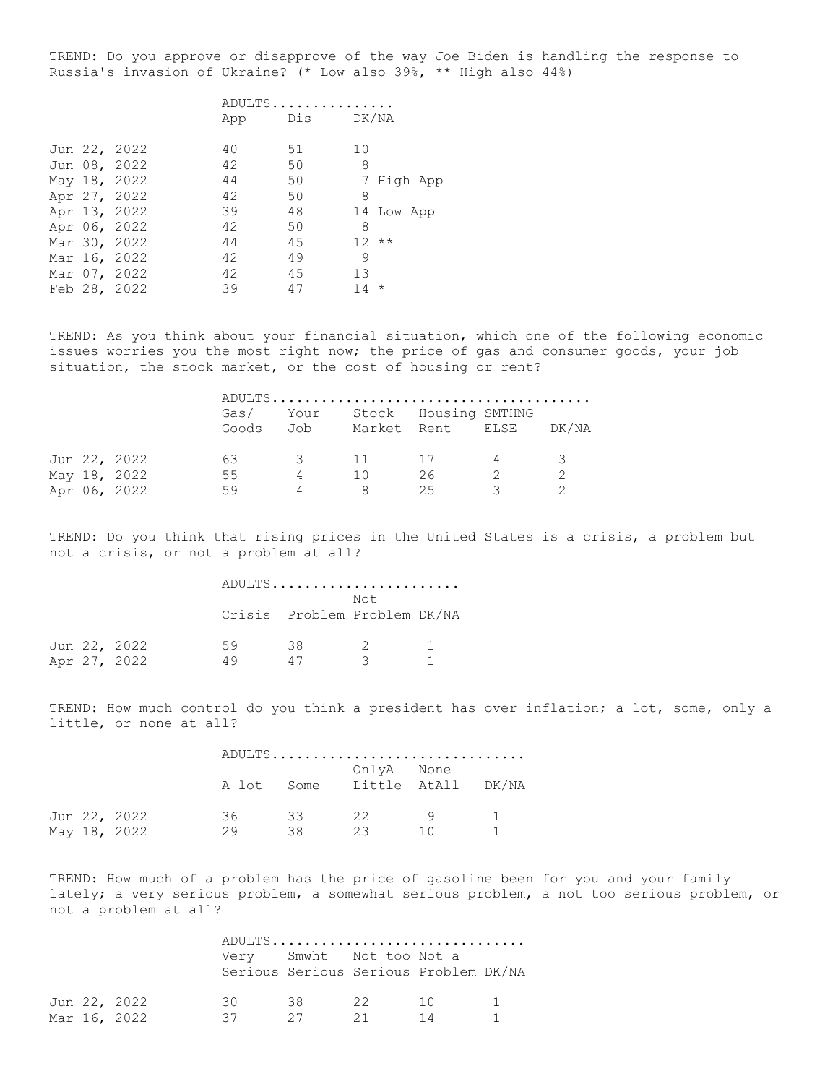TREND: Do you approve or disapprove of the way Joe Biden is handling the response to Russia's invasion of Ukraine? (\* Low also 39%, \*\* High also 44%)

|  |              | ADULTS |  |    |           |        |            |  |
|--|--------------|--------|--|----|-----------|--------|------------|--|
|  |              | App    |  |    | Dis DK/NA |        |            |  |
|  | Jun 22, 2022 | 40     |  | 51 |           | 10     |            |  |
|  | Jun 08, 2022 | 42     |  | 50 |           | 8      |            |  |
|  | May 18, 2022 | 44     |  | 50 |           |        | 7 High App |  |
|  | Apr 27, 2022 | 42     |  | 50 |           | 8      |            |  |
|  | Apr 13, 2022 | 39     |  | 48 |           |        | 14 Low App |  |
|  | Apr 06, 2022 | 42     |  | 50 |           | 8      |            |  |
|  | Mar 30, 2022 | 44     |  | 45 |           | $12**$ |            |  |
|  | Mar 16, 2022 | 42     |  | 49 |           | 9      |            |  |
|  | Mar 07, 2022 | 42     |  | 45 |           | 13     |            |  |
|  | Feb 28, 2022 | 39     |  | 47 |           | $14 *$ |            |  |
|  |              |        |  |    |           |        |            |  |

TREND: As you think about your financial situation, which one of the following economic issues worries you the most right now; the price of gas and consumer goods, your job situation, the stock market, or the cost of housing or rent?

|  |              | Goods Job | Gas/ Your |         | Stock Housing SMTHNG<br>Market Rent ELSE |                | DK/NA |
|--|--------------|-----------|-----------|---------|------------------------------------------|----------------|-------|
|  | Jun 22, 2022 | 63        |           | 3 11 17 |                                          | $\overline{4}$ |       |
|  | May 18, 2022 | 55        | 4         | 10      | 26                                       |                |       |
|  | Apr 06, 2022 | 59        | 4         | 8       | 25                                       |                |       |

TREND: Do you think that rising prices in the United States is a crisis, a problem but not a crisis, or not a problem at all?

|  |              |    |    | ADULTS                               |  |
|--|--------------|----|----|--------------------------------------|--|
|  |              |    |    | Not.<br>Crisis Problem Problem DK/NA |  |
|  | Jun 22, 2022 | 59 | 38 | - 2                                  |  |
|  | Apr 27, 2022 | 49 | 47 | ্ব                                   |  |

TREND: How much control do you think a president has over inflation; a lot, some, only a little, or none at all?

|  |              |    |    |            | ADULTS                        |  |
|--|--------------|----|----|------------|-------------------------------|--|
|  |              |    |    | OnlyA None | A lot Some Little AtAll DK/NA |  |
|  | Jun 22, 2022 | 36 | 33 | 22         | $\overline{q}$                |  |
|  | May 18, 2022 | 29 | 38 | -23        | $\overline{10}$               |  |

TREND: How much of a problem has the price of gasoline been for you and your family lately; a very serious problem, a somewhat serious problem, a not too serious problem, or not a problem at all?

|  |              |           |       | ADULTS                                |          |          |
|--|--------------|-----------|-------|---------------------------------------|----------|----------|
|  |              |           |       | Verv Smwht Not too Not a              |          |          |
|  |              |           |       | Serious Serious Serious Problem DK/NA |          |          |
|  | Jun 22, 2022 | 30 $\sim$ | 38 22 |                                       | $1 \cap$ | $\sim$ 1 |
|  | Mar 16, 2022 | 37        | 27    | 21                                    | 14       |          |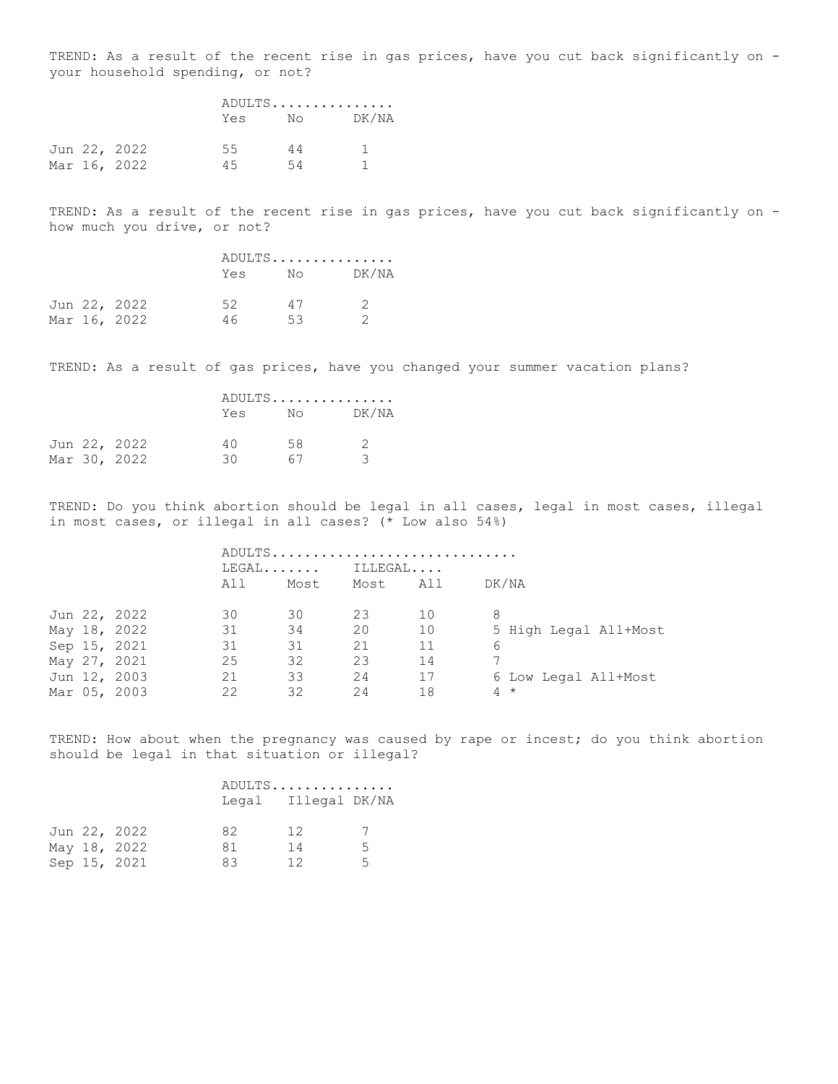TREND: As a result of the recent rise in gas prices, have you cut back significantly on your household spending, or not?

|  |              | ADULTS |          |       |  |  |
|--|--------------|--------|----------|-------|--|--|
|  |              | Yes    | No DK/NA |       |  |  |
|  | Jun 22, 2022 | 55     | 44       | - 1 - |  |  |
|  | Mar 16, 2022 | 45     | 54       |       |  |  |

TREND: As a result of the recent rise in gas prices, have you cut back significantly on how much you drive, or not?

|  |              |     | ADULTS         |               |  |  |
|--|--------------|-----|----------------|---------------|--|--|
|  |              | Yes | $N_{\bigcirc}$ | DK/NA         |  |  |
|  | Jun 22, 2022 | 52. | 47             | $\mathcal{D}$ |  |  |
|  | Mar 16, 2022 | 46  | 53.            |               |  |  |

TREND: As a result of gas prices, have you changed your summer vacation plans?

|  |              |     | ADULTS                                                                                                                                                                                                                          |               |  |  |  |
|--|--------------|-----|---------------------------------------------------------------------------------------------------------------------------------------------------------------------------------------------------------------------------------|---------------|--|--|--|
|  |              | Yes | Noted the North State of the New York of the New York of the New York of the New York of the New York of the New York of the New York of the New York of the New York of the New York of the New York of the New York of the Ne | DK/NA         |  |  |  |
|  | Jun 22, 2022 | 4 O | 58.                                                                                                                                                                                                                             | $\mathcal{D}$ |  |  |  |
|  | Mar 30, 2022 | 30  | 67                                                                                                                                                                                                                              | 3             |  |  |  |

TREND: Do you think abortion should be legal in all cases, legal in most cases, illegal in most cases, or illegal in all cases? (\* Low also 54%)

|  |              |         |      |          | ADULTS |                       |
|--|--------------|---------|------|----------|--------|-----------------------|
|  |              | $LEGAL$ |      | ILLEGAL  |        |                       |
|  |              | All     | Most | Most All |        | DK/NA                 |
|  | Jun 22, 2022 | 30      | 30   | 23       | 10     | 8                     |
|  | May 18, 2022 | 31      | 34   | 20       | 10     | 5 High Legal All+Most |
|  | Sep 15, 2021 | 31      | 31   | 21       | 11     | 6                     |
|  | May 27, 2021 | 25      | 32   | 23       | 14     |                       |
|  | Jun 12, 2003 | 21      | 33   | 24       | 17     | 6 Low Legal All+Most  |
|  | Mar 05, 2003 | 22      | 32   | 24       | 18     | $4 *$                 |

TREND: How about when the pregnancy was caused by rape or incest; do you think abortion should be legal in that situation or illegal?

| ADULTS |               |  |  |  |  |  |  |  |
|--------|---------------|--|--|--|--|--|--|--|
| Legal  | Illegal DK/NA |  |  |  |  |  |  |  |

|  | Jun 22, 2022 | 82  | 12  |   |
|--|--------------|-----|-----|---|
|  | May 18, 2022 | -81 | -14 | 5 |
|  | Sep 15, 2021 | 83  | 12  | 5 |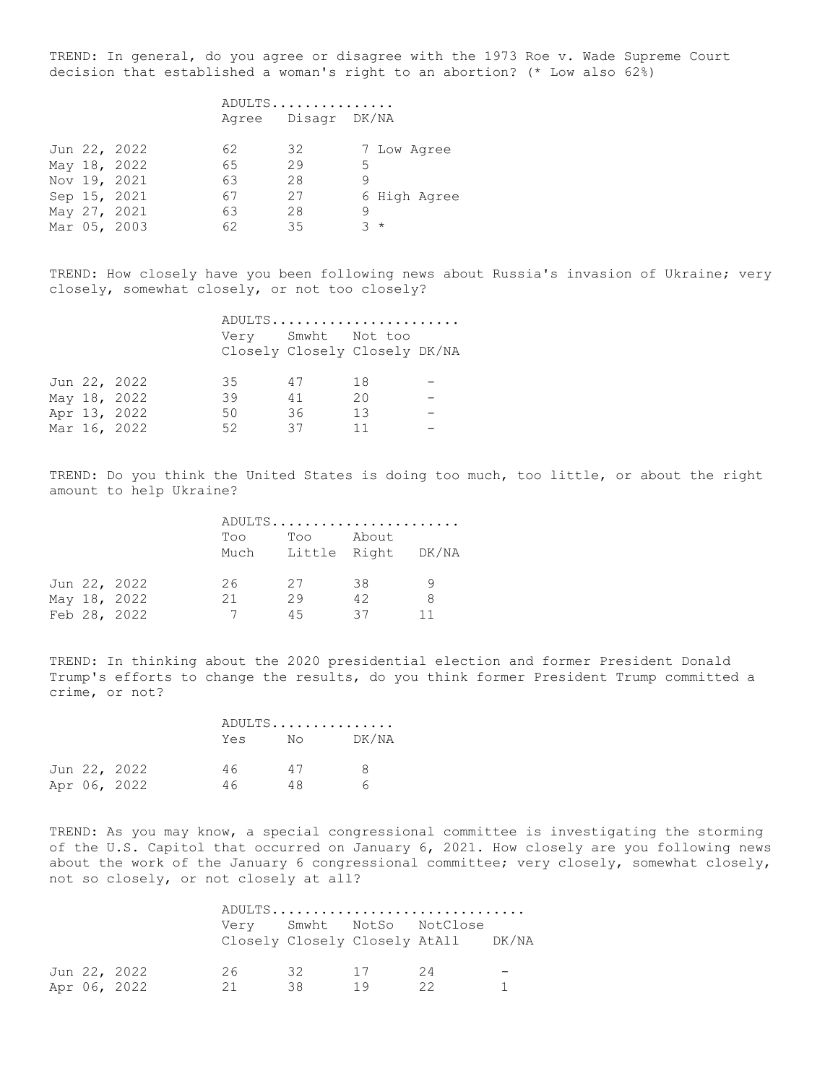TREND: In general, do you agree or disagree with the 1973 Roe v. Wade Supreme Court decision that established a woman's right to an abortion? (\* Low also 62%)

## ADULTS............... Agree Disagr DK/NA

|  | Jun 22, 2022 | 62 | 32 |       | 7 Low Agree  |
|--|--------------|----|----|-------|--------------|
|  | May 18, 2022 | 65 | 29 | 5.    |              |
|  | Nov 19, 2021 | 63 | 28 | Q     |              |
|  | Sep 15, 2021 | 67 | 27 |       | 6 High Agree |
|  | May 27, 2021 | 63 | 28 | q     |              |
|  | Mar 05, 2003 | 62 | 35 | $3 *$ |              |

TREND: How closely have you been following news about Russia's invasion of Ukraine; very closely, somewhat closely, or not too closely?

|  |              |                    |    | ADULTS                        |  |
|--|--------------|--------------------|----|-------------------------------|--|
|  |              | Very Smwht Not too |    | Closely Closely Closely DK/NA |  |
|  | Jun 22, 2022 | 35                 | 47 | 18                            |  |
|  | May 18, 2022 | 39                 | 41 | 20                            |  |
|  | Apr 13, 2022 | 50                 | 36 | 13                            |  |
|  | Mar 16, 2022 | 52                 | 37 | 11                            |  |
|  |              |                    |    |                               |  |

TREND: Do you think the United States is doing too much, too little, or about the right amount to help Ukraine?

|  |              | ADULTS |     |                                  |    |  |
|--|--------------|--------|-----|----------------------------------|----|--|
|  |              | Too    | Too | About<br>Much Little Right DK/NA |    |  |
|  | Jun 22, 2022 | 26     | 27  | 38                               | 9  |  |
|  | May 18, 2022 | 21     | 29  | 42                               | 8  |  |
|  | Feb 28, 2022 |        | 45  | 37                               | 11 |  |
|  |              |        |     |                                  |    |  |

TREND: In thinking about the 2020 presidential election and former President Donald Trump's efforts to change the results, do you think former President Trump committed a crime, or not?

|  |              |     | ADULTS |       |
|--|--------------|-----|--------|-------|
|  |              | Yes | No     | DK/NA |
|  | Jun 22, 2022 | 46  | 47     | 8     |
|  | Apr 06, 2022 | 46. | 48.    | ี     |

TREND: As you may know, a special congressional committee is investigating the storming of the U.S. Capitol that occurred on January 6, 2021. How closely are you following news about the work of the January 6 congressional committee; very closely, somewhat closely, not so closely, or not closely at all?

|  |              |     |       |    | ADULTS                                                           |  |
|--|--------------|-----|-------|----|------------------------------------------------------------------|--|
|  |              |     |       |    | Very Smwht NotSo NotClose<br>Closely Closely Closely AtAll DK/NA |  |
|  | Jun 22, 2022 | 26. | 32 17 |    | - 24                                                             |  |
|  | Apr 06, 2022 | 21  | 38.   | 19 | - 22                                                             |  |